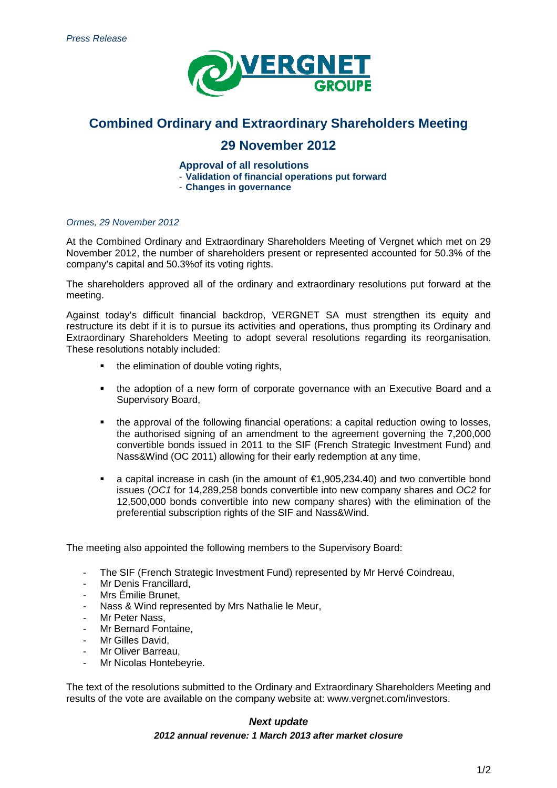

# **Combined Ordinary and Extraordinary Shareholders Meeting**

## **29 November 2012**

**Appro Approval of all resolutions** 

- **Validation of financial operations put forward** 

- **Changes in governance**

#### Ormes, 29 November 2012

At the Combined Ordinary and Extraordinary Shareholders Meeting of Vergnet which met on 29 November 2012, the number of shareholders present or represented accounted for 50.3% of the November 2012, the number of shareholders pr<br>company's capital and 50.3%of its voting rights.

The shareholders approved all of the ordinary and extraordinary resolutions put forward forward at the meeting.

Against today's difficult financial backdrop, VERGNET SA must strengthen its equity and restructure its debt if it is to pursue its activities and operations, thus prompting its Ordinary and Extraordinary Shareholders Meeting to adopt several resolutions regarding its reorganisation. These resolutions notably included:

- the elimination of double voting rights,
- the adoption of a new form of corporate governance with an Executive Board and a Supervisory Board,
- the approval of the following financial operations: a capital reduction owing to losses, the authorised signing of an amendment to the agreement governing the 7,200,000 convertible bonds issued in 2 2011 to the SIF (French Strategic Investment Fund Fund) and Nass&Wind (OC 2011) allowing for their early redemption at any time,
- a capital increase in cash (in the amount of  $€1,905,234.40$ ) and two convertible bond issues (OC1 for 14,289,258 bonds convertible into new company shares and OC2 for 12,500,000 bonds convertible into new company shares) with the elimination of the preferential subscription rights of the SIF and Nass&Wind.

The meeting also appointed the following members to the Supervisory Board:

- The SIF (French Strategic Investment Fund) represented by Mr Hervé Coindreau,
- Mr Denis Francillard,
- Mrs Émilie Brunet,
- Nass & Wind represented by Mrs Nathalie le Meur,
- Mr Peter Nass.
- Mr Bernard Fontaine.
- Mr Gilles David,
- Mr Oliver Barreau,
- Mr Nicolas Hontebeyrie.

The text of the resolutions submitted to the Ordinary and Extraordinary Shareholders Meeting Meeting and results of the vote are available on the company website at: www.vergnet.com/investors.

## **2012 annual annual revenue: 1 March 2013 after market closure Next update**